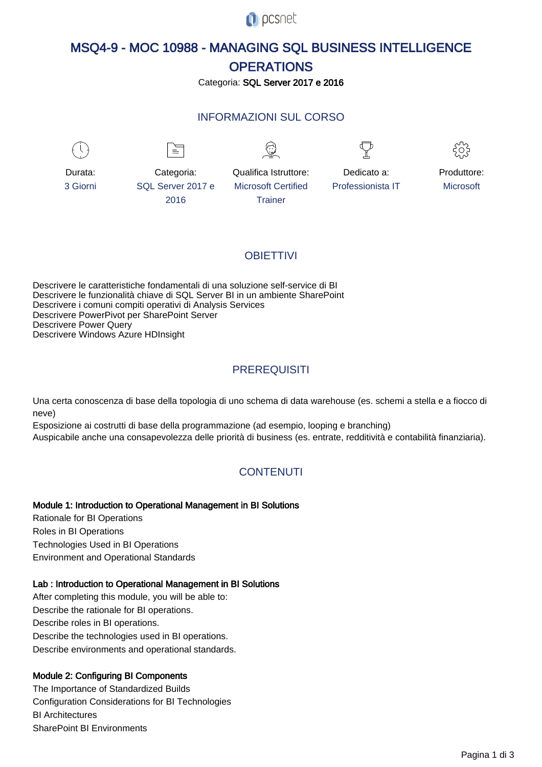

# MSQ4-9 - MOC 10988 - MANAGING SQL BUSINESS INTELLIGENCE **OPERATIONS**

#### Categoria: SQL Server 2017 e 2016

### INFORMAZIONI SUL CORSO

 $\overline{a}$ 

Microsoft Certified **Trainer** 



Durata: 3 Giorni

Categoria: SQL Server 2017 e 2016

 $\equiv$ 



```
Qualifica Istruttore:
```
Dedicato a: Professionista IT



Produttore: **Microsoft** 

### **OBIFTTIVI**

Descrivere le caratteristiche fondamentali di una soluzione self-service di BI Descrivere le funzionalità chiave di SQL Server BI in un ambiente SharePoint Descrivere i comuni compiti operativi di Analysis Services Descrivere PowerPivot per SharePoint Server Descrivere Power Query Descrivere Windows Azure HDInsight

### **PREREQUISITI**

Una certa conoscenza di base della topologia di uno schema di data warehouse (es. schemi a stella e a fiocco di neve)

Esposizione ai costrutti di base della programmazione (ad esempio, looping e branching) Auspicabile anche una consapevolezza delle priorità di business (es. entrate, redditività e contabilità finanziaria).

## **CONTENUTI**

#### Module 1: Introduction to Operational Management in BI Solutions

Rationale for BI Operations Roles in BI Operations Technologies Used in BI Operations Environment and Operational Standards

#### Lab : Introduction to Operational Management in BI Solutions

After completing this module, you will be able to: Describe the rationale for BI operations. Describe roles in BI operations. Describe the technologies used in BI operations. Describe environments and operational standards.

#### Module 2: Configuring BI Components

The Importance of Standardized Builds Configuration Considerations for BI Technologies BI Architectures SharePoint BI Environments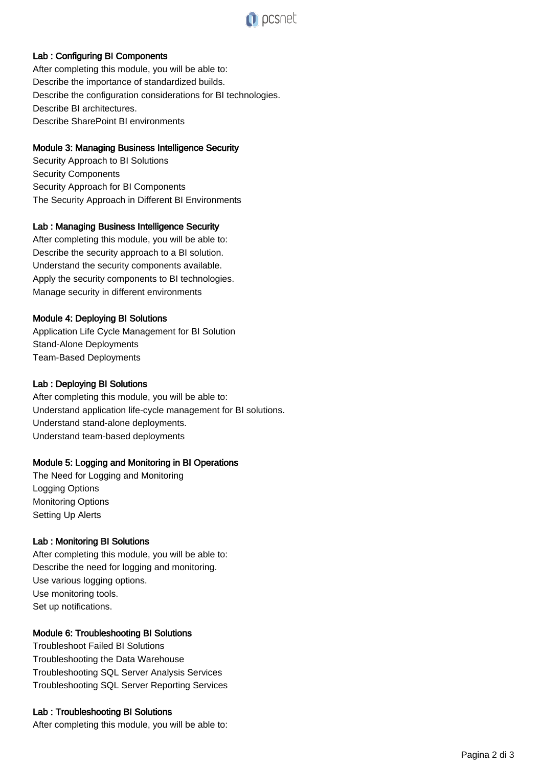

#### Lab : Configuring BI Components

After completing this module, you will be able to: Describe the importance of standardized builds. Describe the configuration considerations for BI technologies. Describe BI architectures. Describe SharePoint BI environments

#### Module 3: Managing Business Intelligence Security

Security Approach to BI Solutions Security Components Security Approach for BI Components The Security Approach in Different BI Environments

#### Lab : Managing Business Intelligence Security

After completing this module, you will be able to: Describe the security approach to a BI solution. Understand the security components available. Apply the security components to BI technologies. Manage security in different environments

#### Module 4: Deploying BI Solutions

Application Life Cycle Management for BI Solution Stand-Alone Deployments Team-Based Deployments

#### Lab : Deploying BI Solutions

After completing this module, you will be able to: Understand application life-cycle management for BI solutions. Understand stand-alone deployments. Understand team-based deployments

#### Module 5: Logging and Monitoring in BI Operations

The Need for Logging and Monitoring Logging Options Monitoring Options Setting Up Alerts

#### Lab : Monitoring BI Solutions

After completing this module, you will be able to: Describe the need for logging and monitoring. Use various logging options. Use monitoring tools. Set up notifications.

#### Module 6: Troubleshooting BI Solutions

Troubleshoot Failed BI Solutions Troubleshooting the Data Warehouse Troubleshooting SQL Server Analysis Services Troubleshooting SQL Server Reporting Services

#### Lab : Troubleshooting BI Solutions

After completing this module, you will be able to: